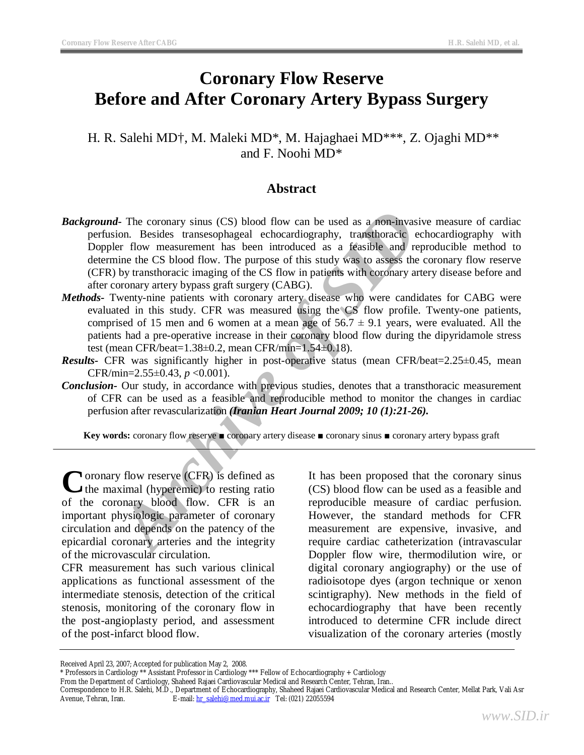# **Coronary Flow Reserve Before and After Coronary Artery Bypass Surgery**

H. R. Salehi MD†, M. Maleki MD\*, M. Hajaghaei MD\*\*\*, Z. Ojaghi MD\*\* and F. Noohi MD\*

## **Abstract**

- *A* The coronary sinus (CS) blood flow can be used as a non-invasive<br>ion. Besides transesophageal echocardiography, transhoracic echoe<br>inner the SID comment has been introduced as a feasible and reproce-<br>inner the CS blood *Background*- The coronary sinus (CS) blood flow can be used as a non-invasive measure of cardiac perfusion. Besides transesophageal echocardiography, transthoracic echocardiography with Doppler flow measurement has been introduced as a feasible and reproducible method to determine the CS blood flow. The purpose of this study was to assess the coronary flow reserve (CFR) by transthoracic imaging of the CS flow in patients with coronary artery disease before and after coronary artery bypass graft surgery (CABG).
- *Methods-* Twenty-nine patients with coronary artery disease who were candidates for CABG were evaluated in this study. CFR was measured using the CS flow profile. Twenty-one patients, comprised of 15 men and 6 women at a mean age of  $56.7 \pm 9.1$  years, were evaluated. All the patients had a pre-operative increase in their coronary blood flow during the dipyridamole stress test (mean CFR/beat=1.38±0.2, mean CFR/min=1.54±0.18).
- **Results-** CFR was significantly higher in post-operative status (mean CFR/beat=2.25±0.45, mean CFR/min=2.55±0.43, *p* <0.001).
- *Conclusion-* Our study, in accordance with previous studies, denotes that a transthoracic measurement of CFR can be used as a feasible and reproducible method to monitor the changes in cardiac perfusion after revascularization *(Iranian Heart Journal 2009; 10 (1):21-26).*

**Key words:** coronary flow reserve ■ coronary artery disease ■ coronary sinus ■ coronary artery bypass graft

Coronary flow reserve (CFR) is defined as<br>the maximal (hyperemic) to resting ratio  $\blacktriangleright$  the maximal (hyperemic) to resting ratio of the coronary blood flow. CFR is an important physiologic parameter of coronary circulation and depends on the patency of the epicardial coronary arteries and the integrity of the microvascular circulation.

CFR measurement has such various clinical applications as functional assessment of the intermediate stenosis, detection of the critical stenosis, monitoring of the coronary flow in the post-angioplasty period, and assessment of the post-infarct blood flow.

It has been proposed that the coronary sinus (CS) blood flow can be used as a feasible and reproducible measure of cardiac perfusion. However, the standard methods for CFR measurement are expensive, invasive, and require cardiac catheterization (intravascular Doppler flow wire, thermodilution wire, or digital coronary angiography) or the use of radioisotope dyes (argon technique or xenon scintigraphy). New methods in the field of echocardiography that have been recently introduced to determine CFR include direct visualization of the coronary arteries (mostly

Received April 23, 2007; Accepted for publication May 2, 2008.

<sup>\*</sup> Professors in Cardiology \*\* Assistant Professor in Cardiology \*\*\* Fellow of Echocardiography + Cardiology

From the Department of Cardiology, Shaheed Rajaei Cardiovascular Medical and Research Center, Tehran, Iran..

Correspondence to H.R. Salehi, M.D., Department of Echocardiography, Shaheed Rajaei Cardiovascular Medical and Research Center, Mellat Park, Vali Asr Avenue, Tehran, Iran. E-mail: [hr\\_salehi@med.mui.ac.ir](mailto:hr_salehi@med.mui.ac.ir) Tel: (021) 22055594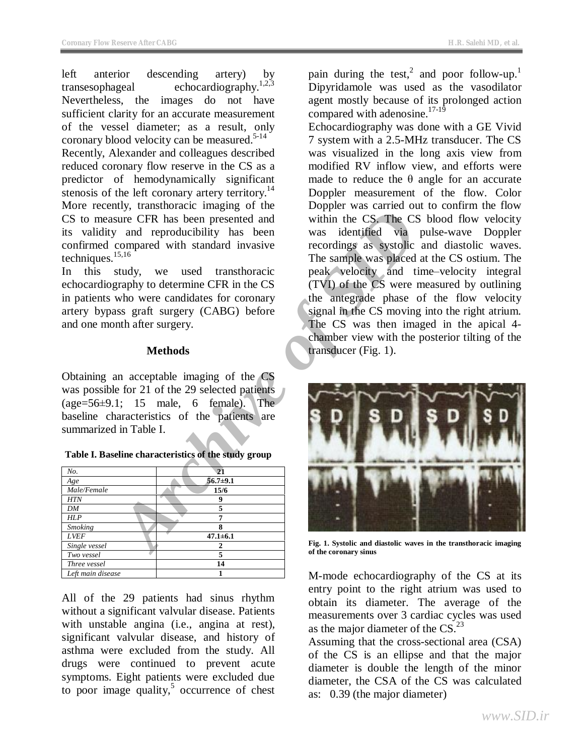left anterior descending artery) by transesophageal echocardiography.<sup>1,2,3</sup> Nevertheless, the images do not have sufficient clarity for an accurate measurement of the vessel diameter; as a result, only coronary blood velocity can be measured. $5-14$ Recently, Alexander and colleagues described reduced coronary flow reserve in the CS as a predictor of hemodynamically significant stenosis of the left coronary artery territory.<sup>14</sup> More recently, transthoracic imaging of the CS to measure CFR has been presented and its validity and reproducibility has been confirmed compared with standard invasive techniques.15,16

In this study, we used transthoracic echocardiography to determine CFR in the CS in patients who were candidates for coronary artery bypass graft surgery (CABG) before and one month after surgery.

## **Methods**

Obtaining an acceptable imaging of the CS was possible for 21 of the 29 selected patients (age=56±9.1; 15 male, 6 female). The baseline characteristics of the patients are summarized in Table I.

| No.               | 21             |
|-------------------|----------------|
| Age               | $56.7 + 9.1$   |
| Male/Female       | 15/6           |
| <b>HTN</b>        | q              |
| DM                |                |
| <b>HLP</b>        |                |
| <b>Smoking</b>    | 8              |
| <b>LVEF</b>       | $47.1 \pm 6.1$ |
| Single vessel     | າ              |
| Two vessel        | 5              |
| Three vessel      | 14             |
| Left main disease |                |

**Table I. Baseline characteristics of the study group** 

All of the 29 patients had sinus rhythm without a significant valvular disease. Patients with unstable angina (i.e., angina at rest), significant valvular disease, and history of asthma were excluded from the study. All drugs were continued to prevent acute symptoms. Eight patients were excluded due to poor image quality, $5$  occurrence of chest

pain during the test,<sup>2</sup> and poor follow-up.<sup>1</sup> Dipyridamole was used as the vasodilator agent mostly because of its prolonged action compared with adenosine.<sup>17-19</sup>

Echocardiography was done with a GE Vivid 7 system with a 2.5-MHz transducer. The CS was visualized in the long axis view from modified RV inflow view, and efforts were made to reduce the  $\theta$  angle for an accurate Doppler measurement of the flow. Color Doppler was carried out to confirm the flow within the CS. The CS blood flow velocity was identified via pulse-wave Doppler recordings as systolic and diastolic waves. The sample was placed at the CS ostium. The peak velocity and time–velocity integral (TVI) of the CS were measured by outlining the antegrade phase of the flow velocity signal in the CS moving into the right atrium. The CS was then imaged in the apical 4 chamber view with the posterior tilting of the transducer (Fig. 1).



**Fig. 1. Systolic and diastolic waves in the transthoracic imaging of the coronary sinus** 

M-mode echocardiography of the CS at its entry point to the right atrium was used to obtain its diameter. The average of the measurements over 3 cardiac cycles was used as the major diameter of the  $CS.<sup>23</sup>$ 

Assuming that the cross-sectional area (CSA) of the CS is an ellipse and that the major diameter is double the length of the minor diameter, the CSA of the CS was calculated as: 0.39 (the major diameter)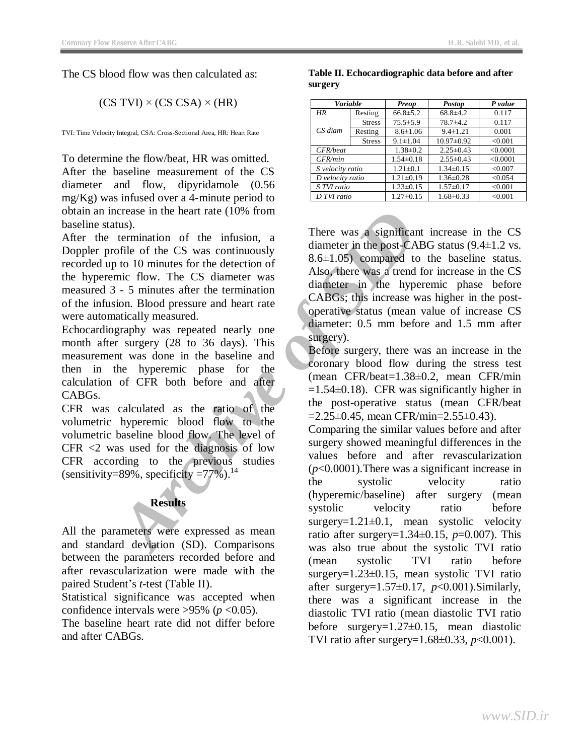The CS blood flow was then calculated as:

 $(CS TVI) \times (CS CSA) \times (HR)$ 

TVI: Time Velocity Integral, CSA: Cross-Sectional Area, HR: Heart Rate

To determine the flow/beat, HR was omitted. After the baseline measurement of the CS diameter and flow, dipyridamole (0.56 mg/Kg) was infused over a 4-minute period to obtain an increase in the heart rate (10% from baseline status).

After the termination of the infusion, a Doppler profile of the CS was continuously recorded up to 10 minutes for the detection of the hyperemic flow. The CS diameter was measured 3 - 5 minutes after the termination of the infusion. Blood pressure and heart rate were automatically measured.

Echocardiography was repeated nearly one month after surgery (28 to 36 days). This measurement was done in the baseline and then in the hyperemic phase for the calculation of CFR both before and after CABGs.

CFR was calculated as the ratio of the volumetric hyperemic blood flow to the volumetric baseline blood flow. The level of CFR <2 was used for the diagnosis of low CFR according to the previous studies (sensitivity=89%, specificity =77%).<sup>14</sup>

## **Results**

All the parameters were expressed as mean and standard deviation (SD). Comparisons between the parameters recorded before and after revascularization were made with the paired Student's *t-*test (Table II).

Statistical significance was accepted when confidence intervals were  $>95\%$  ( $p < 0.05$ ).

The baseline heart rate did not differ before and after CABGs.

**Table II. Echocardiographic data before and after surgery** 

| Variable         |               | <b>Preop</b>    | <b>Postop</b>    | P value  |
|------------------|---------------|-----------------|------------------|----------|
| HR               | Resting       | $66.8 \pm 5.2$  | $68.8 \pm 4.2$   | 0.117    |
|                  | <b>Stress</b> | $75.5 \pm 5.9$  | $78.7 + 4.2$     | 0.117    |
| CS diam          | Resting       | $8.6 \pm 1.06$  | $9.4 \pm 1.21$   | 0.001    |
|                  | <b>Stress</b> | $9.1 \pm 1.04$  | $10.97 \pm 0.92$ | < 0.001  |
| CFR/beat         |               | $1.38 \pm 0.2$  | $2.25 \pm 0.43$  | < 0.0001 |
| CFR/min          |               | $1.54 \pm 0.18$ | $2.55 \pm 0.43$  | < 0.0001 |
| S velocity ratio |               | $1.21 \pm 0.1$  | $1.34 \pm 0.15$  | < 0.007  |
| D velocity ratio |               | $1.21 \pm 0.19$ | $1.36 \pm 0.28$  | < 0.054  |
| S TVI ratio      |               | $1.23 \pm 0.15$ | $1.57 \pm 0.17$  | < 0.001  |
| D TVI ratio      |               | $1.27 \pm 0.15$ | $1.68 \pm 0.33$  | < 0.001  |

There was a significant increase in the CS diameter in the post-CABG status (9.4±1.2 vs.  $8.6\pm1.05$  compared to the baseline status. Also, there was a trend for increase in the CS diameter in the hyperemic phase before CABGs; this increase was higher in the postoperative status (mean value of increase CS diameter: 0.5 mm before and 1.5 mm after surgery).

Before surgery, there was an increase in the coronary blood flow during the stress test (mean CFR/beat=1.38±0.2, mean CFR/min  $=1.54\pm0.18$ ). CFR was significantly higher in the post-operative status (mean CFR/beat  $=2.25\pm0.45$ , mean CFR/min=2.55 $\pm$ 0.43).

Crease in the heart rate (10% from<br>
termination of the infusion, a<br>
termination of the cost vas continuously<br>
termination of the detection of<br>
to to 10 minutes for the detection of<br>
and the post-CABG<br>
in the post-CABG<br>
in Comparing the similar values before and after surgery showed meaningful differences in the values before and after revascularization (*p*<0.0001).There was a significant increase in the systolic velocity ratio (hyperemic/baseline) after surgery (mean systolic velocity ratio before  $surgery=1.21\pm0.1$ , mean systolic velocity ratio after surgery=1.34±0.15, *p*=0.007). This was also true about the systolic TVI ratio (mean systolic TVI ratio before surgery=1.23±0.15, mean systolic TVI ratio after surgery= $1.57\pm0.17$ ,  $p<0.001$ ). Similarly, there was a significant increase in the diastolic TVI ratio (mean diastolic TVI ratio before surgery=1.27±0.15, mean diastolic TVI ratio after surgery=1.68±0.33, *p*<0.001).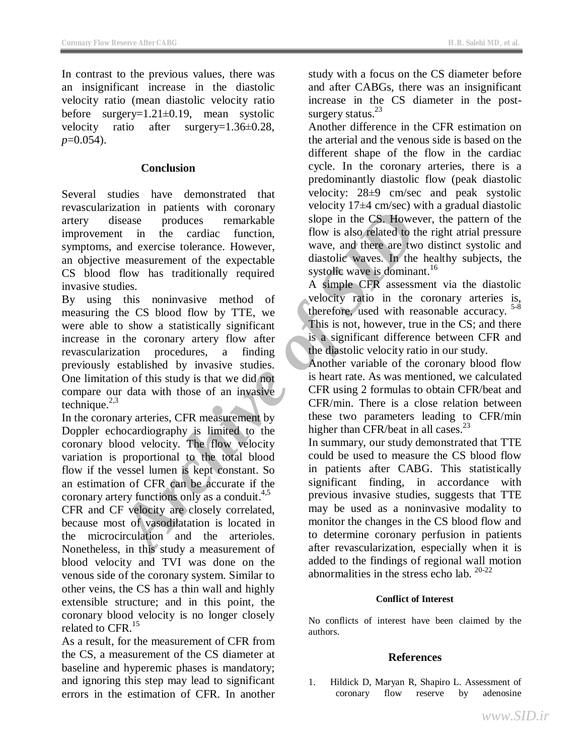In contrast to the previous values, there was an insignificant increase in the diastolic velocity ratio (mean diastolic velocity ratio before surgery=1.21±0.19, mean systolic velocity ratio after surgery=1.36±0.28, *p*=0.054).

#### **Conclusion**

Several studies have demonstrated that revascularization in patients with coronary artery disease produces remarkable improvement in the cardiac function, symptoms, and exercise tolerance. However, an objective measurement of the expectable CS blood flow has traditionally required invasive studies.

Archive Town Country Country the control in particulation in the carticle produces remarkable slope in the CS. However, the emeasurement of the expectable diastolic wave, and then are two distortions has traditionally requ By using this noninvasive method of measuring the CS blood flow by TTE, we were able to show a statistically significant increase in the coronary artery flow after revascularization procedures, a finding previously established by invasive studies. One limitation of this study is that we did not compare our data with those of an invasive technique. 2,3

In the coronary arteries, CFR measurement by Doppler echocardiography is limited to the coronary blood velocity. The flow velocity variation is proportional to the total blood flow if the vessel lumen is kept constant. So an estimation of CFR can be accurate if the coronary artery functions only as a conduit.<sup>4,5</sup>

CFR and CF velocity are closely correlated, because most of vasodilatation is located in the microcirculation and the arterioles. Nonetheless, in this study a measurement of blood velocity and TVI was done on the venous side of the coronary system. Similar to other veins, the CS has a thin wall and highly extensible structure; and in this point, the coronary blood velocity is no longer closely related to CFR.<sup>15</sup>

As a result, for the measurement of CFR from the CS, a measurement of the CS diameter at baseline and hyperemic phases is mandatory; and ignoring this step may lead to significant errors in the estimation of CFR. In another

study with a focus on the CS diameter before and after CABGs, there was an insignificant increase in the CS diameter in the postsurgery status. $^{23}$ 

Another difference in the CFR estimation on the arterial and the venous side is based on the different shape of the flow in the cardiac cycle. In the coronary arteries, there is a predominantly diastolic flow (peak diastolic velocity: 28±9 cm/sec and peak systolic velocity 17±4 cm/sec) with a gradual diastolic slope in the CS. However, the pattern of the flow is also related to the right atrial pressure wave, and there are two distinct systolic and diastolic waves. In the healthy subjects, the systolic wave is dominant.<sup>16</sup>

A simple CFR assessment via the diastolic velocity ratio in the coronary arteries is, therefore, used with reasonable accuracy.  $5-8$ This is not, however, true in the CS; and there is a significant difference between CFR and the diastolic velocity ratio in our study.

Another variable of the coronary blood flow is heart rate. As was mentioned, we calculated CFR using 2 formulas to obtain CFR/beat and CFR/min. There is a close relation between these two parameters leading to CFR/min higher than CFR/beat in all cases.<sup>23</sup>

In summary, our study demonstrated that TTE could be used to measure the CS blood flow in patients after CABG. This statistically significant finding, in accordance with previous invasive studies, suggests that TTE may be used as a noninvasive modality to monitor the changes in the CS blood flow and to determine coronary perfusion in patients after revascularization, especially when it is added to the findings of regional wall motion abnormalities in the stress echo lab.  $20-22$ 

#### **Conflict of Interest**

No conflicts of interest have been claimed by the authors.

#### **References**

1. Hildick D, Maryan R, Shapiro L. Assessment of coronary flow reserve by adenosine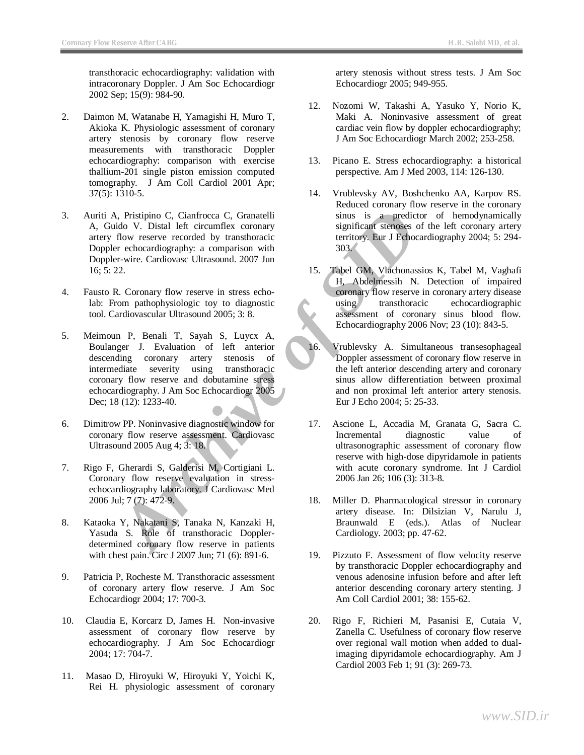transthoracic echocardiography: validation with intracoronary Doppler. J Am Soc Echocardiogr 2002 Sep; 15(9): 984-90.

- 2. Daimon M, Watanabe H, Yamagishi H, Muro T, Akioka K. Physiologic assessment of coronary artery stenosis by coronary flow reserve measurements with transthoracic Doppler echocardiography: comparison with exercise thallium-201 single piston emission computed tomography. J Am Coll Cardiol 2001 Apr; 37(5): 1310-5.
- 3. Auriti A, Pristipino C, Cianfrocca C, Granatelli A, Guido V. Distal left circumflex coronary artery flow reserve recorded by transthoracic Doppler echocardiography: a comparison with Doppler-wire. Cardiovasc Ultrasound. 2007 Jun 16; 5: 22.
- 4. Fausto R. Coronary flow reserve in stress echolab: From pathophysiologic toy to diagnostic tool. Cardiovascular Ultrasound 2005; 3: 8.
- **Archive of Consumer Consumer School of Visual left circumles and distant since and since the predictor<br>
<b>Archive of SID** and The temperature and the state of the state of the state of the state of the state of the state o 5. Meimoun P, Benali T, Sayah S, Luycx A, Boulanger J. Evaluation of left anterior descending coronary artery stenosis of intermediate severity using transthoracic coronary flow reserve and dobutamine stress echocardiography. J Am Soc Echocardiogr 2005 Dec; 18 (12): 1233-40.
- 6. Dimitrow PP. Noninvasive diagnostic window for coronary flow reserve assessment. Cardiovasc Ultrasound 2005 Aug 4; 3: 18.
- 7. Rigo F, Gherardi S, Galderisi M, Cortigiani L. Coronary flow reserve evaluation in stressechocardiography laboratory. J Cardiovasc Med 2006 Jul; 7 (7): 472-9.
- 8. Kataoka Y, Nakatani S, Tanaka N, Kanzaki H, Yasuda S. Role of transthoracic Dopplerdetermined coronary flow reserve in patients with chest pain. Circ J 2007 Jun; 71 (6): 891-6.
- 9. Patricia P, Rocheste M. Transthoracic assessment of coronary artery flow reserve. J Am Soc Echocardiogr 2004; 17: 700-3.
- 10. Claudia E, Korcarz D, James H. Non-invasive assessment of coronary flow reserve by echocardiography. J Am Soc Echocardiogr 2004; 17: 704-7.
- 11. Masao D, Hiroyuki W, Hiroyuki Y, Yoichi K, Rei H. physiologic assessment of coronary

artery stenosis without stress tests. J Am Soc Echocardiogr 2005; 949-955.

- 12. Nozomi W, Takashi A, Yasuko Y, Norio K, Maki A. Noninvasive assessment of great cardiac vein flow by doppler echocardiography; J Am Soc Echocardiogr March 2002; 253-258.
- 13. Picano E. Stress echocardiography: a historical perspective. Am J Med 2003, 114: 126-130.
- 14. Vrublevsky AV, Boshchenko AA, Karpov RS. Reduced coronary flow reserve in the coronary sinus is a predictor of hemodynamically significant stenoses of the left coronary artery territory. Eur J Echocardiography 2004; 5: 294- 303.
- 15. Tabel GM, Vlachonassios K, Tabel M, Vaghafi H, Abdelmessih N. Detection of impaired coronary flow reserve in coronary artery disease using transthoracic echocardiographic assessment of coronary sinus blood flow. Echocardiography 2006 Nov; 23 (10): 843-5.
- 16. Vrublevsky A. Simultaneous transesophageal Doppler assessment of coronary flow reserve in the left anterior descending artery and coronary sinus allow differentiation between proximal and non proximal left anterior artery stenosis. Eur J Echo 2004; 5: 25-33.
- 17. Ascione L, Accadia M, Granata G, Sacra C. Incremental diagnostic value of ultrasonographic assessment of coronary flow reserve with high-dose dipyridamole in patients with acute coronary syndrome. Int J Cardiol 2006 Jan 26; 106 (3): 313-8.
- 18. Miller D. Pharmacological stressor in coronary artery disease. In: Dilsizian V, Narulu J, Braunwald E (eds.). Atlas of Nuclear Cardiology. 2003; pp. 47-62.
- 19. Pizzuto F. Assessment of flow velocity reserve by transthoracic Doppler echocardiography and venous adenosine infusion before and after left anterior descending coronary artery stenting. J Am Coll Cardiol 2001; 38: 155-62.
- 20. Rigo F, Richieri M, Pasanisi E, Cutaia V, Zanella C. Usefulness of coronary flow reserve over regional wall motion when added to dualimaging dipyridamole echocardiography. Am J Cardiol 2003 Feb 1; 91 (3): 269-73.